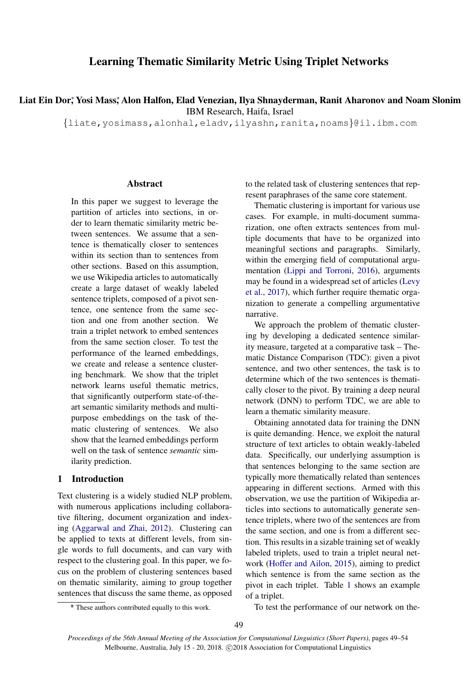# Learning Thematic Similarity Metric Using Triplet Networks

Liat Ein Dor;ٌ Yosi Mass;ٌ Alon Halfon, Elad Venezian, Ilya Shnayderman, Ranit Aharonov and Noam Slonim IBM Research, Haifa, Israel

{liate,yosimass,alonhal,eladv,ilyashn,ranita,noams}@il.ibm.com

#### **Abstract**

In this paper we suggest to leverage the partition of articles into sections, in order to learn thematic similarity metric between sentences. We assume that a sentence is thematically closer to sentences within its section than to sentences from other sections. Based on this assumption, we use Wikipedia articles to automatically create a large dataset of weakly labeled sentence triplets, composed of a pivot sentence, one sentence from the same section and one from another section. We train a triplet network to embed sentences from the same section closer. To test the performance of the learned embeddings, we create and release a sentence clustering benchmark. We show that the triplet network learns useful thematic metrics, that significantly outperform state-of-theart semantic similarity methods and multipurpose embeddings on the task of thematic clustering of sentences. We also show that the learned embeddings perform well on the task of sentence *semantic* similarity prediction.

## 1 Introduction

Text clustering is a widely studied NLP problem, with numerous applications including collaborative filtering, document organization and indexing [\(Aggarwal and Zhai,](#page-5-0) [2012\)](#page-5-0). Clustering can be applied to texts at different levels, from single words to full documents, and can vary with respect to the clustering goal. In this paper, we focus on the problem of clustering sentences based on thematic similarity, aiming to group together sentences that discuss the same theme, as opposed to the related task of clustering sentences that represent paraphrases of the same core statement.

Thematic clustering is important for various use cases. For example, in multi-document summarization, one often extracts sentences from multiple documents that have to be organized into meaningful sections and paragraphs. Similarly, within the emerging field of computational argumentation [\(Lippi and Torroni,](#page-5-1) [2016\)](#page-5-1), arguments may be found in a widespread set of articles [\(Levy](#page-5-2) [et al.,](#page-5-2) [2017\)](#page-5-2), which further require thematic organization to generate a compelling argumentative narrative.

We approach the problem of thematic clustering by developing a dedicated sentence similarity measure, targeted at a comparative task – Thematic Distance Comparison (TDC): given a pivot sentence, and two other sentences, the task is to determine which of the two sentences is thematically closer to the pivot. By training a deep neural network (DNN) to perform TDC, we are able to learn a thematic similarity measure.

Obtaining annotated data for training the DNN is quite demanding. Hence, we exploit the natural structure of text articles to obtain weakly-labeled data. Specifically, our underlying assumption is that sentences belonging to the same section are typically more thematically related than sentences appearing in different sections. Armed with this observation, we use the partition of Wikipedia articles into sections to automatically generate sentence triplets, where two of the sentences are from the same section, and one is from a different section. This results in a sizable training set of weakly labeled triplets, used to train a triplet neural network [\(Hoffer and Ailon,](#page-5-3) [2015\)](#page-5-3), aiming to predict which sentence is from the same section as the pivot in each triplet. Table [1](#page-1-0) shows an example of a triplet.

To test the performance of our network on the-

49

<sup>∗</sup> \* These authors contributed equally to this work.

*Proceedings of the 56th Annual Meeting of the Association for Computational Linguistics (Short Papers)*, pages 49–54 Melbourne, Australia, July 15 - 20, 2018. C 2018 Association for Computational Linguistics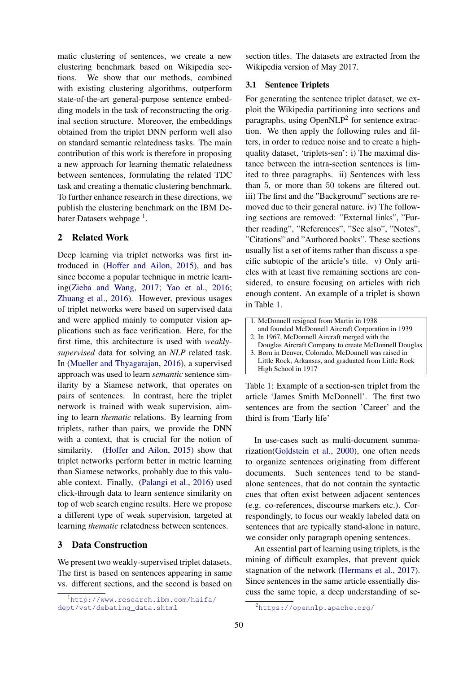matic clustering of sentences, we create a new clustering benchmark based on Wikipedia sections. We show that our methods, combined with existing clustering algorithms, outperform state-of-the-art general-purpose sentence embedding models in the task of reconstructing the original section structure. Moreover, the embeddings obtained from the triplet DNN perform well also on standard semantic relatedness tasks. The main contribution of this work is therefore in proposing a new approach for learning thematic relatedness between sentences, formulating the related TDC task and creating a thematic clustering benchmark. To further enhance research in these directions, we publish the clustering benchmark on the IBM De-bater Datasets webpage<sup>[1](#page-1-1)</sup>.

## 2 Related Work

Deep learning via triplet networks was first introduced in [\(Hoffer and Ailon,](#page-5-3) [2015\)](#page-5-3), and has since become a popular technique in metric learning[\(Zieba and Wang,](#page-5-4) [2017;](#page-5-4) [Yao et al.,](#page-5-5) [2016;](#page-5-5) [Zhuang et al.,](#page-5-6) [2016\)](#page-5-6). However, previous usages of triplet networks were based on supervised data and were applied mainly to computer vision applications such as face verification. Here, for the first time, this architecture is used with *weaklysupervised* data for solving an *NLP* related task. In [\(Mueller and Thyagarajan,](#page-5-7) [2016\)](#page-5-7), a supervised approach was used to learn *semantic* sentence similarity by a Siamese network, that operates on pairs of sentences. In contrast, here the triplet network is trained with weak supervision, aiming to learn *thematic* relations. By learning from triplets, rather than pairs, we provide the DNN with a context, that is crucial for the notion of similarity. [\(Hoffer and Ailon,](#page-5-3) [2015\)](#page-5-3) show that triplet networks perform better in metric learning than Siamese networks, probably due to this valuable context. Finally, [\(Palangi et al.,](#page-5-8) [2016\)](#page-5-8) used click-through data to learn sentence similarity on top of web search engine results. Here we propose a different type of weak supervision, targeted at learning *thematic* relatedness between sentences.

# 3 Data Construction

We present two weakly-supervised triplet datasets. The first is based on sentences appearing in same vs. different sections, and the second is based on section titles. The datasets are extracted from the Wikipedia version of May 2017.

## <span id="page-1-3"></span>3.1 Sentence Triplets

For generating the sentence triplet dataset, we exploit the Wikipedia partitioning into sections and paragraphs, using OpenNLP<sup>[2](#page-1-2)</sup> for sentence extraction. We then apply the following rules and filters, in order to reduce noise and to create a highquality dataset, 'triplets-sen': i) The maximal distance between the intra-section sentences is limited to three paragraphs. ii) Sentences with less than 5, or more than 50 tokens are filtered out. iii) The first and the "Background" sections are removed due to their general nature. iv) The following sections are removed: "External links", "Further reading", "References", "See also", "Notes", "Citations" and "Authored books". These sections usually list a set of items rather than discuss a specific subtopic of the article's title. v) Only articles with at least five remaining sections are considered, to ensure focusing on articles with rich enough content. An example of a triplet is shown in Table [1.](#page-1-0)

| 1. McDonnell resigned from Martin in 1938             |
|-------------------------------------------------------|
| and founded McDonnell Aircraft Corporation in 1939    |
| 2. In 1967, McDonnell Aircraft merged with the        |
| Douglas Aircraft Company to create McDonnell Douglas  |
| 3. Born in Denver, Colorado, McDonnell was raised in  |
| Little Rock, Arkansas, and graduated from Little Rock |
| High School in 1917                                   |

<span id="page-1-0"></span>Table 1: Example of a section-sen triplet from the article 'James Smith McDonnell'. The first two sentences are from the section 'Career' and the third is from 'Early life'

In use-cases such as multi-document summarization[\(Goldstein et al.,](#page-5-9) [2000\)](#page-5-9), one often needs to organize sentences originating from different documents. Such sentences tend to be standalone sentences, that do not contain the syntactic cues that often exist between adjacent sentences (e.g. co-references, discourse markers etc.). Correspondingly, to focus our weakly labeled data on sentences that are typically stand-alone in nature, we consider only paragraph opening sentences.

An essential part of learning using triplets, is the mining of difficult examples, that prevent quick stagnation of the network [\(Hermans et al.,](#page-5-10) [2017\)](#page-5-10). Since sentences in the same article essentially discuss the same topic, a deep understanding of se-

<span id="page-1-1"></span><sup>1</sup>[http://www.research.ibm.com/haifa/](http://www.research.ibm.com/haifa/dept/vst/debating_data.shtml) [dept/vst/debating\\_data.shtml](http://www.research.ibm.com/haifa/dept/vst/debating_data.shtml)

<span id="page-1-2"></span><sup>2</sup><https://opennlp.apache.org/>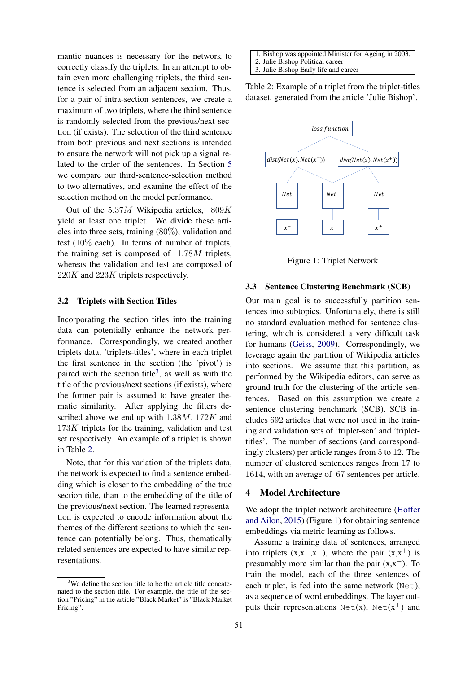mantic nuances is necessary for the network to correctly classify the triplets. In an attempt to obtain even more challenging triplets, the third sentence is selected from an adjacent section. Thus, for a pair of intra-section sentences, we create a maximum of two triplets, where the third sentence is randomly selected from the previous/next section (if exists). The selection of the third sentence from both previous and next sections is intended to ensure the network will not pick up a signal related to the order of the sentences. In Section [5](#page-3-0) we compare our third-sentence-selection method to two alternatives, and examine the effect of the selection method on the model performance.

Out of the  $5.37M$  Wikipedia articles,  $809K$ yield at least one triplet. We divide these articles into three sets, training (80%), validation and test (10% each). In terms of number of triplets, the training set is composed of 1.78M triplets, whereas the validation and test are composed of 220K and 223K triplets respectively.

## 3.2 Triplets with Section Titles

Incorporating the section titles into the training data can potentially enhance the network performance. Correspondingly, we created another triplets data, 'triplets-titles', where in each triplet the first sentence in the section (the 'pivot') is paired with the section title<sup>[3](#page-2-0)</sup>, as well as with the title of the previous/next sections (if exists), where the former pair is assumed to have greater thematic similarity. After applying the filters described above we end up with 1.38M, 172K and 173K triplets for the training, validation and test set respectively. An example of a triplet is shown in Table [2.](#page-2-1)

Note, that for this variation of the triplets data, the network is expected to find a sentence embedding which is closer to the embedding of the true section title, than to the embedding of the title of the previous/next section. The learned representation is expected to encode information about the themes of the different sections to which the sentence can potentially belong. Thus, thematically related sentences are expected to have similar representations.

1. Bishop was appointed Minister for Ageing in 2003. 2. Julie Bishop Political career

<span id="page-2-1"></span>3. Julie Bishop Early life and career

Table 2: Example of a triplet from the triplet-titles dataset, generated from the article 'Julie Bishop'.



<span id="page-2-2"></span>Figure 1: Triplet Network

## <span id="page-2-3"></span>3.3 Sentence Clustering Benchmark (SCB)

Our main goal is to successfully partition sentences into subtopics. Unfortunately, there is still no standard evaluation method for sentence clustering, which is considered a very difficult task for humans [\(Geiss,](#page-5-11) [2009\)](#page-5-11). Correspondingly, we leverage again the partition of Wikipedia articles into sections. We assume that this partition, as performed by the Wikipedia editors, can serve as ground truth for the clustering of the article sentences. Based on this assumption we create a sentence clustering benchmark (SCB). SCB includes 692 articles that were not used in the training and validation sets of 'triplet-sen' and 'triplettitles'. The number of sections (and correspondingly clusters) per article ranges from 5 to 12. The number of clustered sentences ranges from 17 to 1614, with an average of 67 sentences per article.

## 4 Model Architecture

We adopt the triplet network architecture [\(Hoffer](#page-5-3) [and Ailon,](#page-5-3) [2015\)](#page-5-3) (Figure [1\)](#page-2-2) for obtaining sentence embeddings via metric learning as follows.

Assume a training data of sentences, arranged into triplets  $(x,x^+,x^-)$ , where the pair  $(x,x^+)$  is presumably more similar than the pair  $(x,x^-)$ . To train the model, each of the three sentences of each triplet, is fed into the same network (Net), as a sequence of word embeddings. The layer outputs their representations  $Net(x)$ ,  $Net(x<sup>+</sup>)$  and

<span id="page-2-0"></span> $3$ We define the section title to be the article title concatenated to the section title. For example, the title of the section "Pricing" in the article "Black Market" is "Black Market Pricing".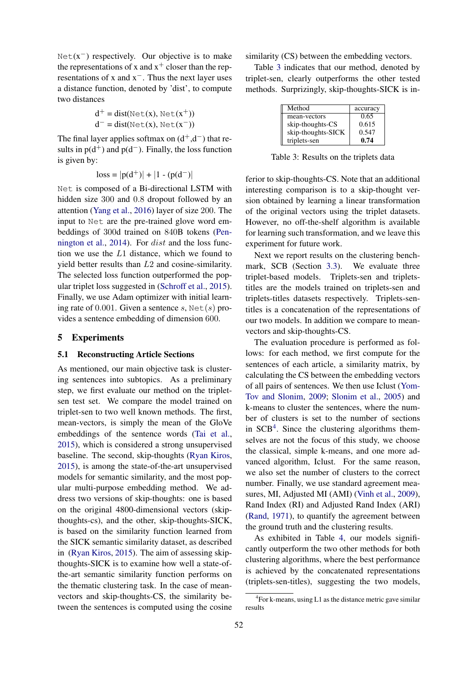$Net(x<sup>-</sup>)$  respectively. Our objective is to make the representations of x and  $x^+$  closer than the representations of x and  $x<sup>-</sup>$ . Thus the next layer uses a distance function, denoted by 'dist', to compute two distances

$$
d^{+} = dist(\text{Net}(x), \text{Net}(x^{+}))
$$
  

$$
d^{-} = dist(\text{Net}(x), \text{Net}(x^{-}))
$$

The final layer applies softmax on  $(d^+,d^-)$  that results in  $p(d^+)$  and  $p(d^-)$ . Finally, the loss function is given by:

 $\text{loss} = |\text{p}(\text{d}^+)| + |1 - (\text{p}(\text{d}^-))|$ 

Net is composed of a Bi-directional LSTM with hidden size 300 and 0.8 dropout followed by an attention [\(Yang et al.,](#page-5-12) [2016\)](#page-5-12) layer of size 200. The input to Net are the pre-trained glove word embeddings of 300d trained on 840B tokens [\(Pen](#page-5-13)[nington et al.,](#page-5-13) [2014\)](#page-5-13). For dist and the loss function we use the L1 distance, which we found to yield better results than L2 and cosine-similarity. The selected loss function outperformed the popular triplet loss suggested in [\(Schroff et al.,](#page-5-14) [2015\)](#page-5-14). Finally, we use Adam optimizer with initial learning rate of 0.001. Given a sentence s,  $Net(s)$  provides a sentence embedding of dimension 600.

# <span id="page-3-0"></span>5 Experiments

#### 5.1 Reconstructing Article Sections

As mentioned, our main objective task is clustering sentences into subtopics. As a preliminary step, we first evaluate our method on the tripletsen test set. We compare the model trained on triplet-sen to two well known methods. The first, mean-vectors, is simply the mean of the GloVe embeddings of the sentence words [\(Tai et al.,](#page-5-15) [2015\)](#page-5-15), which is considered a strong unsupervised baseline. The second, skip-thoughts [\(Ryan Kiros,](#page-5-16) [2015\)](#page-5-16), is among the state-of-the-art unsupervised models for semantic similarity, and the most popular multi-purpose embedding method. We address two versions of skip-thoughts: one is based on the original 4800-dimensional vectors (skipthoughts-cs), and the other, skip-thoughts-SICK, is based on the similarity function learned from the SICK semantic similarity dataset, as described in [\(Ryan Kiros,](#page-5-16) [2015\)](#page-5-16). The aim of assessing skipthoughts-SICK is to examine how well a state-ofthe-art semantic similarity function performs on the thematic clustering task. In the case of meanvectors and skip-thoughts-CS, the similarity between the sentences is computed using the cosine similarity (CS) between the embedding vectors.

Table [3](#page-3-1) indicates that our method, denoted by triplet-sen, clearly outperforms the other tested methods. Surprizingly, skip-thoughts-SICK is in-

| Method             | accuracy |
|--------------------|----------|
| mean-vectors       | 0.65     |
| skip-thoughts-CS   | 0.615    |
| skip-thoughts-SICK | 0.547    |
| triplets-sen       | 0.74     |

<span id="page-3-1"></span>Table 3: Results on the triplets data

ferior to skip-thoughts-CS. Note that an additional interesting comparison is to a skip-thought version obtained by learning a linear transformation of the original vectors using the triplet datasets. However, no off-the-shelf algorithm is available for learning such transformation, and we leave this experiment for future work.

Next we report results on the clustering benchmark, SCB (Section [3.3\)](#page-2-3). We evaluate three triplet-based models. Triplets-sen and tripletstitles are the models trained on triplets-sen and triplets-titles datasets respectively. Triplets-sentitles is a concatenation of the representations of our two models. In addition we compare to meanvectors and skip-thoughts-CS.

The evaluation procedure is performed as follows: for each method, we first compute for the sentences of each article, a similarity matrix, by calculating the CS between the embedding vectors of all pairs of sentences. We then use Iclust [\(Yom-](#page-5-17)[Tov and Slonim,](#page-5-17) [2009;](#page-5-17) [Slonim et al.,](#page-5-18) [2005\)](#page-5-18) and k-means to cluster the sentences, where the number of clusters is set to the number of sections in  $SCB<sup>4</sup>$  $SCB<sup>4</sup>$  $SCB<sup>4</sup>$ . Since the clustering algorithms themselves are not the focus of this study, we choose the classical, simple k-means, and one more advanced algorithm, Iclust. For the same reason, we also set the number of clusters to the correct number. Finally, we use standard agreement measures, MI, Adjusted MI (AMI) [\(Vinh et al.,](#page-5-19) [2009\)](#page-5-19), Rand Index (RI) and Adjusted Rand Index (ARI) [\(Rand,](#page-5-20) [1971\)](#page-5-20), to quantify the agreement between the ground truth and the clustering results.

As exhibited in Table [4,](#page-4-0) our models significantly outperform the two other methods for both clustering algorithms, where the best performance is achieved by the concatenated representations (triplets-sen-titles), suggesting the two models,

<span id="page-3-2"></span><sup>&</sup>lt;sup>4</sup>For k-means, using L1 as the distance metric gave similar results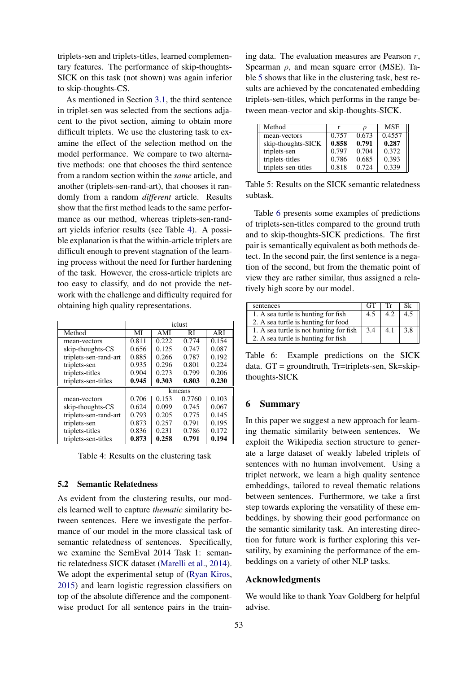triplets-sen and triplets-titles, learned complementary features. The performance of skip-thoughts-SICK on this task (not shown) was again inferior to skip-thoughts-CS.

As mentioned in Section [3.1,](#page-1-3) the third sentence in triplet-sen was selected from the sections adjacent to the pivot section, aiming to obtain more difficult triplets. We use the clustering task to examine the effect of the selection method on the model performance. We compare to two alternative methods: one that chooses the third sentence from a random section within the *same* article, and another (triplets-sen-rand-art), that chooses it randomly from a random *different* article. Results show that the first method leads to the same performance as our method, whereas triplets-sen-randart yields inferior results (see Table [4\)](#page-4-0). A possible explanation is that the within-article triplets are difficult enough to prevent stagnation of the learning process without the need for further hardening of the task. However, the cross-article triplets are too easy to classify, and do not provide the network with the challenge and difficulty required for obtaining high quality representations.

|                       | iclust |       |        |            |  |
|-----------------------|--------|-------|--------|------------|--|
| Method                | MI     | AMI   | RI     | <b>ARI</b> |  |
| mean-vectors          | 0.811  | 0.222 | 0.774  | 0.154      |  |
| skip-thoughts-CS      | 0.656  | 0.125 | 0.747  | 0.087      |  |
| triplets-sen-rand-art | 0.885  | 0.266 | 0.787  | 0.192      |  |
| triplets-sen          | 0.935  | 0.296 | 0.801  | 0.224      |  |
| triplets-titles       | 0.904  | 0.273 | 0.799  | 0.206      |  |
| triplets-sen-titles   | 0.945  | 0.303 | 0.803  | 0.230      |  |
|                       | kmeans |       |        |            |  |
| mean-vectors          | 0.706  | 0.153 | 0.7760 | 0.103      |  |
| skip-thoughts-CS      | 0.624  | 0.099 | 0.745  | 0.067      |  |
| triplets-sen-rand-art | 0.793  | 0.205 | 0.775  | 0.145      |  |
| triplets-sen          | 0.873  | 0.257 | 0.791  | 0.195      |  |
| triplets-titles       | 0.836  | 0.231 | 0.786  | 0.172      |  |
| triplets-sen-titles   | 0.873  | 0.258 | 0.791  | 0.194      |  |

<span id="page-4-0"></span>Table 4: Results on the clustering task

#### 5.2 Semantic Relatedness

As evident from the clustering results, our models learned well to capture *thematic* similarity between sentences. Here we investigate the performance of our model in the more classical task of semantic relatedness of sentences. Specifically, we examine the SemEval 2014 Task 1: semantic relatedness SICK dataset [\(Marelli et al.,](#page-5-21) [2014\)](#page-5-21). We adopt the experimental setup of [\(Ryan Kiros,](#page-5-16) [2015\)](#page-5-16) and learn logistic regression classifiers on top of the absolute difference and the componentwise product for all sentence pairs in the train-

ing data. The evaluation measures are Pearson  $r$ , Spearman  $\rho$ , and mean square error (MSE). Table [5](#page-4-1) shows that like in the clustering task, best results are achieved by the concatenated embedding triplets-sen-titles, which performs in the range between mean-vector and skip-thoughts-SICK.

| Method              |       |       | <b>MSE</b> |
|---------------------|-------|-------|------------|
| mean-vectors        | 0.757 | 0.673 | 0.4557     |
| skip-thoughts-SICK  | 0.858 | 0.791 | 0.287      |
| triplets-sen        | 0.797 | 0.704 | 0.372      |
| triplets-titles     | 0.786 | 0.685 | 0.393      |
| triplets-sen-titles | 0.818 | 0.724 | 0.339      |

<span id="page-4-1"></span>Table 5: Results on the SICK semantic relatedness subtask.

Table [6](#page-4-2) presents some examples of predictions of triplets-sen-titles compared to the ground truth and to skip-thoughts-SICK predictions. The first pair is semantically equivalent as both methods detect. In the second pair, the first sentence is a negation of the second, but from the thematic point of view they are rather similar, thus assigned a relatively high score by our model.

| sentences                               | <b>GT</b> | Тr  | Sk  |
|-----------------------------------------|-----------|-----|-----|
| 1. A sea turtle is hunting for fish     | 4.5       |     | 4.5 |
| 2. A sea turtle is hunting for food     |           |     |     |
| 1. A sea turtle is not hunting for fish | 3.4       | 4.1 | 3.8 |
| 2. A sea turtle is hunting for fish     |           |     |     |

<span id="page-4-2"></span>Table 6: Example predictions on the SICK data. GT = groundtruth, Tr=triplets-sen, Sk=skipthoughts-SICK

## 6 Summary

In this paper we suggest a new approach for learning thematic similarity between sentences. We exploit the Wikipedia section structure to generate a large dataset of weakly labeled triplets of sentences with no human involvement. Using a triplet network, we learn a high quality sentence embeddings, tailored to reveal thematic relations between sentences. Furthermore, we take a first step towards exploring the versatility of these embeddings, by showing their good performance on the semantic similarity task. An interesting direction for future work is further exploring this versatility, by examining the performance of the embeddings on a variety of other NLP tasks.

## Acknowledgments

We would like to thank Yoav Goldberg for helpful advise.